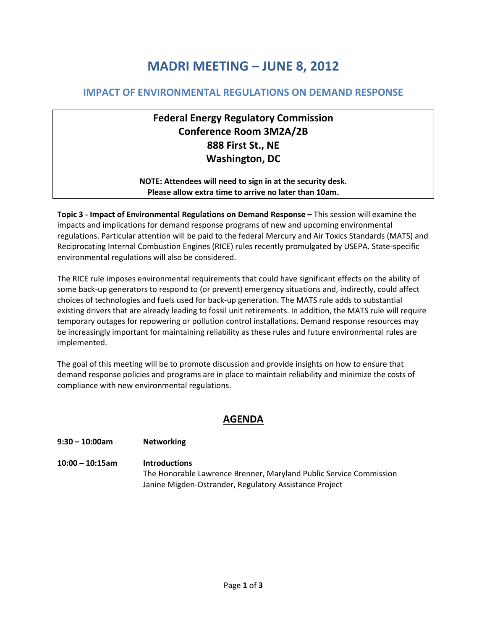# **MADRI MEETING – JUNE 8, 2012**

### **IMPACT OF ENVIRONMENTAL REGULATIONS ON DEMAND RESPONSE**

# **Federal Energy Regulatory Commission Conference Room 3M2A/2B 888 First St., NE Washington, DC**

#### **NOTE: Attendees will need to sign in at the security desk. Please allow extra time to arrive no later than 10am.**

**Topic 3 - Impact of Environmental Regulations on Demand Response –** This session will examine the impacts and implications for demand response programs of new and upcoming environmental regulations. Particular attention will be paid to the federal Mercury and Air Toxics Standards (MATS) and Reciprocating Internal Combustion Engines (RICE) rules recently promulgated by USEPA. State-specific environmental regulations will also be considered.

The RICE rule imposes environmental requirements that could have significant effects on the ability of some back-up generators to respond to (or prevent) emergency situations and, indirectly, could affect choices of technologies and fuels used for back-up generation. The MATS rule adds to substantial existing drivers that are already leading to fossil unit retirements. In addition, the MATS rule will require temporary outages for repowering or pollution control installations. Demand response resources may be increasingly important for maintaining reliability as these rules and future environmental rules are implemented.

The goal of this meeting will be to promote discussion and provide insights on how to ensure that demand response policies and programs are in place to maintain reliability and minimize the costs of compliance with new environmental regulations.

## **AGENDA**

#### **9:30 – 10:00am Networking**

**10:00 – 10:15am Introductions** The Honorable Lawrence Brenner, Maryland Public Service Commission Janine Migden-Ostrander, Regulatory Assistance Project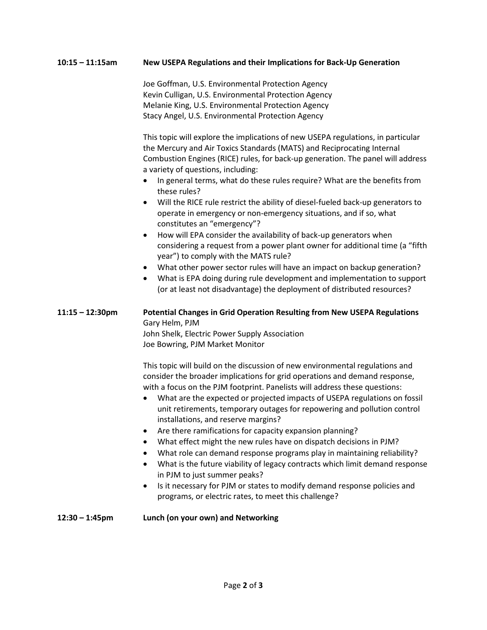#### **10:15 – 11:15am New USEPA Regulations and their Implications for Back-Up Generation**

Joe Goffman, U.S. Environmental Protection Agency Kevin Culligan, U.S. Environmental Protection Agency Melanie King, U.S. Environmental Protection Agency Stacy Angel, U.S. Environmental Protection Agency

This topic will explore the implications of new USEPA regulations, in particular the Mercury and Air Toxics Standards (MATS) and Reciprocating Internal Combustion Engines (RICE) rules, for back-up generation. The panel will address a variety of questions, including:

- In general terms, what do these rules require? What are the benefits from these rules?
- Will the RICE rule restrict the ability of diesel-fueled back-up generators to operate in emergency or non-emergency situations, and if so, what constitutes an "emergency"?
- How will EPA consider the availability of back-up generators when considering a request from a power plant owner for additional time (a "fifth year") to comply with the MATS rule?
- What other power sector rules will have an impact on backup generation?
- What is EPA doing during rule development and implementation to support (or at least not disadvantage) the deployment of distributed resources?

#### **11:15 – 12:30pm Potential Changes in Grid Operation Resulting from New USEPA Regulations** Gary Helm, PJM John Shelk, Electric Power Supply Association

Joe Bowring, PJM Market Monitor

This topic will build on the discussion of new environmental regulations and consider the broader implications for grid operations and demand response, with a focus on the PJM footprint. Panelists will address these questions:

- What are the expected or projected impacts of USEPA regulations on fossil unit retirements, temporary outages for repowering and pollution control installations, and reserve margins?
- Are there ramifications for capacity expansion planning?
- What effect might the new rules have on dispatch decisions in PJM?
- What role can demand response programs play in maintaining reliability?
- What is the future viability of legacy contracts which limit demand response in PJM to just summer peaks?
- Is it necessary for PJM or states to modify demand response policies and programs, or electric rates, to meet this challenge?

#### **12:30 – 1:45pm Lunch (on your own) and Networking**